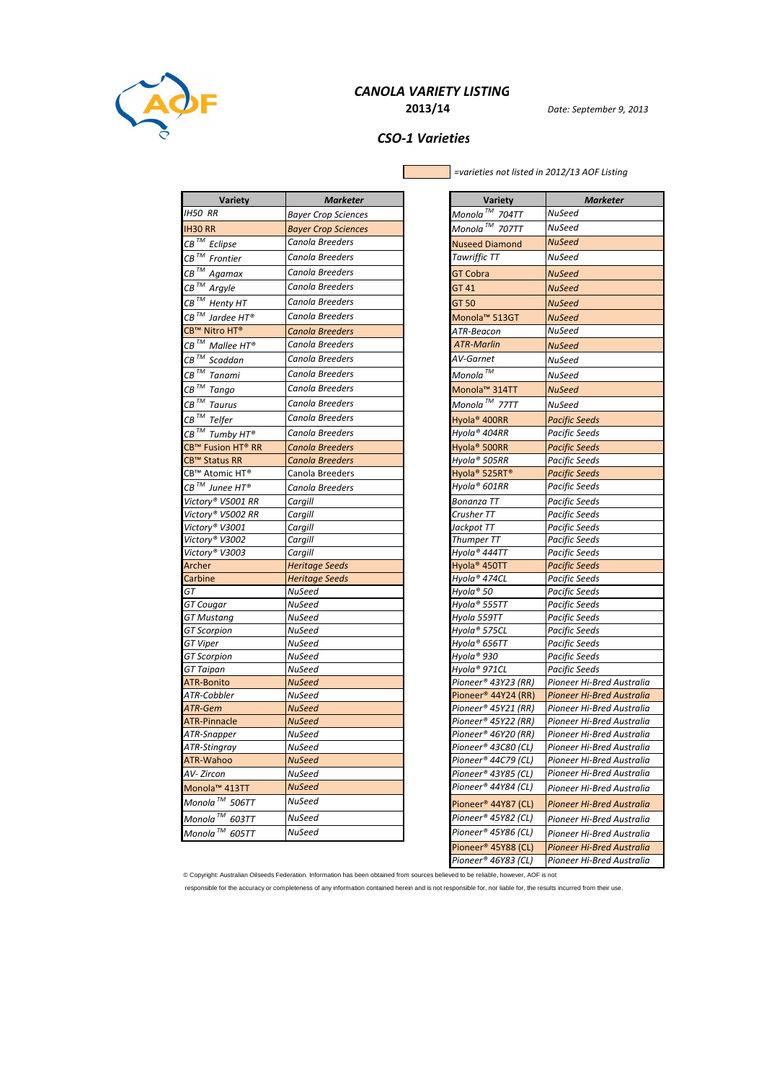

# CANOLA VARIETY LISTING

2013/14 Date: September 9, 2013

## CSO-1 Varieties

Г

=varieties not listed in 2012/13 AOF Listing

| <b>Variety</b>                                | Marketer                   | <b>Variety</b>                                   | <b>Marketer</b>                  |
|-----------------------------------------------|----------------------------|--------------------------------------------------|----------------------------------|
| <b>IH50 RR</b>                                | Bayer Crop Sciences        | Monola™ 704TT                                    | NuSeed                           |
| <b>IH30 RR</b>                                | <b>Bayer Crop Sciences</b> | Monola $^{\mathrm{\scriptscriptstyle TM}}$ 707TT | NuSeed                           |
| $\overline{CB}^{TM}$ Eclipse                  | Canola Breeders            | <b>Nuseed Diamond</b>                            | <b>NuSeed</b>                    |
| $\mathit{CB}^{\;\mathit{TM}}$ Frontier        | Canola Breeders            | Tawriffic TT                                     | NuSeed                           |
| CB <sup>™</sup> Agamax                        | Canola Breeders            | GT Cobra                                         | <b>NuSeed</b>                    |
|                                               | Canola Breeders            |                                                  |                                  |
| $\overline{CB}^{TM}$ Argyle                   |                            | GT 41                                            | <b>NuSeed</b>                    |
| $CB^{\tau M}$ Henty HT                        | Canola Breeders            | GT 50                                            | <b>NuSeed</b>                    |
| $CB^{\mathit{TM}}$ Jardee HT®                 | Canola Breeders            | Monola™ 513GT                                    | <b>NuSeed</b>                    |
| CB™ Nitro HT®                                 | Canola Breeders            | ATR-Beacon                                       | NuSeed                           |
| CB $^{TM}$ Mallee HT®                         | Canola Breeders            | ATR-Marlin                                       | <b>NuSeed</b>                    |
| $CB^{TM}$ Scaddan                             | Canola Breeders            | AV-Garnet                                        | NuSeed                           |
| $CB^{TM}$ Tanami                              | Canola Breeders            | Monola $^{\tau\!M}$                              | NuSeed                           |
| $\overline{CB}^{TM}$ Tango                    | Canola Breeders            | Monola™ 314TT                                    | <b>NuSeed</b>                    |
| $\overline{\textit{CB}}^{\textit{TM}}$ Taurus | Canola Breeders            | Monola $^{\text{\tiny{TM}}}$ 77TT                | NuSeed                           |
| $CB^{TM}$ Telfer                              | Canola Breeders            | Hyola® 400RR                                     | <b>Pacific Seeds</b>             |
| $\overline{CB}^{TM}$ Tumby HT®                | Canola Breeders            | Hyola® 404RR                                     | Pacific Seeds                    |
| CB™ Fusion HT® RR                             | Canola Breeders            | Hyola <sup>®</sup> 500RR                         | <b>Pacific Seeds</b>             |
| CB™ Status RR                                 | Canola Breeders            | Hyola® 505RR                                     | Pacific Seeds                    |
| CB™ Atomic HT®                                | Canola Breeders            | Hyola <sup>®</sup> 525RT <sup>®</sup>            | <b>Pacific Seeds</b>             |
| $\mathcal{C}\mathcal{B}$ $^{7M}$ Junee HT®    | Canola Breeders            | Hyola® 601RR                                     | Pacific Seeds                    |
| Victory® V5001 RR                             | Cargill                    | Bonanza TT                                       | Pacific Seeds                    |
| Victory® V5002 RR                             | Cargill                    | Crusher TT                                       | Pacific Seeds                    |
| Victory® V3001                                | Cargill                    | Jackpot TT                                       | Pacific Seeds                    |
| Victory® V3002                                | Cargill                    | Thumper TT                                       | Pacific Seeds                    |
| Victory® V3003                                | Cargill                    | Hyola® 444TT                                     | Pacific Seeds                    |
| Archer                                        | Heritage Seeds             | Hyola® 450TT                                     | <b>Pacific Seeds</b>             |
| Carbine                                       | <b>Heritage Seeds</b>      | Hyola® 474CL                                     | Pacific Seeds                    |
| GT                                            | NuSeed                     | Hyola® 50                                        | Pacific Seeds                    |
| GT Cougar                                     | NuSeed                     | Hyola® 555TT                                     | Pacific Seeds                    |
| GT Mustang                                    | NuSeed                     | Hyola 559TT                                      | Pacific Seeds                    |
| <b>GT</b> Scorpion                            | NuSeed                     | Hyola® 575CL                                     | Pacific Seeds                    |
| GT Viper                                      | NuSeed                     | Hyola® 656TT                                     | Pacific Seeds                    |
| GT Scorpion                                   | NuSeed                     | Hyola® 930                                       | Pacific Seeds                    |
| GT Taipan                                     | NuSeed                     | Hyola® 971CL                                     | Pacific Seeds                    |
| ATR-Bonito                                    | <b>NuSeed</b>              | Pioneer® 43Y23 (RR)                              | Pioneer Hi-Bred Australia        |
| ATR-Cobbler                                   | NuSeed                     | Pioneer <sup>®</sup> 44Y24 (RR)                  | <b>Pioneer Hi-Bred Australia</b> |
| ATR-Gem                                       | NuSeed                     | Pioneer® 45Y21 (RR)                              | Pioneer Hi-Bred Australia        |
| <b>ATR-Pinnacle</b>                           | <b>NuSeed</b>              | Pioneer® 45Y22 (RR)                              | Pioneer Hi-Bred Australia        |
| ATR-Snapper                                   | NuSeed                     | Pioneer® 46Y20 (RR)                              | Pioneer Hi-Bred Australia        |
| ATR-Stingray                                  | NuSeed                     | Pioneer® 43C80 (CL)                              | Pioneer Hi-Bred Australia        |
| ATR-Wahoo                                     | NuSeed                     | Pioneer® 44C79 (CL)                              | Pioneer Hi-Bred Australia        |
| AV- Zircon                                    | NuSeed                     | Pioneer® 43Y85 (CL)                              | Pioneer Hi-Bred Australia        |
| Monola <sup>™</sup> 413TT                     | <b>NuSeed</b>              | Pioneer® 44Y84 (CL)                              | Pioneer Hi-Bred Australia        |
| Monola <sup>TM</sup> 506TT                    | NuSeed                     | Pioneer <sup>®</sup> 44Y87 (CL)                  | Pioneer Hi-Bred Australia        |
| Monola $\frac{7M}{2}$ 603TT                   | NuSeed                     | Pioneer® 45Y82 (CL)                              | Pioneer Hi-Bred Australia        |
| Monola $\frac{m}{2}$ 605TT                    | NuSeed                     | Pioneer® 45Y86 (CL)                              | Pioneer Hi-Bred Australia        |
|                                               |                            | Dinnaar@ABVQQ[Cl]                                | <b>Dioneer Hi-Bred Australia</b> |

| <b>Variety</b>                        | Marketer                                   |
|---------------------------------------|--------------------------------------------|
| Monola <sup>™</sup> 704TT             | NuSeed                                     |
| Monola <sup>™</sup> 707TT             | NuSeed                                     |
| <b>Nuseed Diamond</b>                 | NuSeed                                     |
| Tawriffic TT                          | NuSeed                                     |
| GT Cobra                              | NuSeed                                     |
| GT 41                                 | <b>NuSeed</b>                              |
|                                       |                                            |
| GT 50                                 | NuSeed                                     |
| Monola <sup>™</sup> 513GT             | NuSeed                                     |
| ATR-Beacon                            | NuSeed                                     |
| <b>ATR-Marlin</b>                     | <b>NuSeed</b>                              |
| <b>AV-Garnet</b>                      | NuSeed                                     |
| Monola™                               | NuSeed                                     |
| Monola™ 314TT                         | <b>NuSeed</b>                              |
| Monola <sup>TM</sup> 77TT             | NuSeed                                     |
| Hyola <sup>®</sup> 400RR              | Pacific Seeds                              |
| Hyola® 404RR                          | Pacific Seeds                              |
| Hyola <sup>®</sup> 500RR              | <b>Pacific Seeds</b>                       |
| Hyola® 505RR                          | Pacific Seeds                              |
| Hyola <sup>®</sup> 525RT <sup>®</sup> | Pacific Seeds                              |
| Hyola® 601RR                          | Pacific Seeds                              |
| <b>Bonanza TT</b>                     | <b>Pacific Seeds</b>                       |
| Crusher TT                            | Pacific Seeds                              |
| Jackpot TT                            | Pacific Seeds                              |
| Thumper TT                            | Pacific Seeds                              |
| Hyola® 444TT                          | Pacific Seeds                              |
| Hyola <sup>®</sup> 450TT              | <b>Pacific Seeds</b>                       |
| Hyola® 474CL                          | Pacific Seeds                              |
| Hyola® 50                             | Pacific Seeds                              |
| Hyola® 555TT                          | Pacific Seeds                              |
| Hyola 559TT                           | Pacific Seeds                              |
| Hyola® 575CL                          | Pacific Seeds                              |
| Hyola® 656TT                          | Pacific Seeds                              |
| Hyola® 930                            | <b>Pacific Seeds</b>                       |
| Hyola® 971CL<br>Pioneer® 43Y23 (RR)   | Pacific Seeds<br>Pioneer Hi-Bred Australia |
| Pioneer <sup>®</sup> 44Y24 (RR)       | Pioneer Hi-Bred Australia                  |
| Pioneer® 45Y21 (RR)                   | Pioneer Hi-Bred Australia                  |
| Pioneer® 45Y22 (RR)                   | Pioneer Hi-Bred Australia                  |
| Pioneer® 46Y20 (RR)                   | Pioneer Hi-Bred Australia                  |
| Pioneer® 43C80 (CL)                   | Pioneer Hi-Bred Australia                  |
| Pioneer® 44C79 (CL)                   | Pioneer Hi-Bred Australia                  |
| Pioneer® 43Y85 (CL)                   | Pioneer Hi-Bred Australia                  |
| Pioneer® 44Y84 (CL)                   | Pioneer Hi-Bred Australia                  |
| Pioneer <sup>®</sup> 44Y87 (CL)       | Pioneer Hi-Bred Australia                  |
| Pioneer® 45Y82 (CL)                   | Pioneer Hi-Bred Australia                  |
| Pioneer® 45Y86 (CL)                   | Pioneer Hi-Bred Australia                  |
| Pioneer <sup>®</sup> 45Y88 (CL)       | <b>Pioneer Hi-Bred Australia</b>           |
| Pioneer® 46Y83 (CL)                   | Pioneer Hi-Bred Australia                  |

© Copyright: Australian Oilseeds Federation. Information has been obtained from sources believed to be reliable, however, AOF is not

responsible for the accuracy or completeness of any information contained herein and is not responsible for, nor liable for, the results incurred from their use.